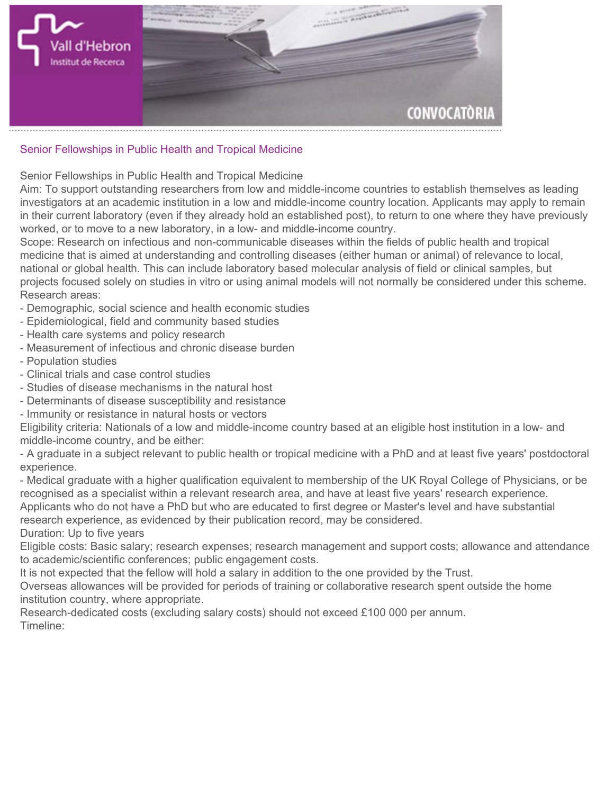

## **Senior Fellowships in Public Health and Tropical Medicine**

**Senior Fellowships in Public Health and Tropical Medicine**

**Aim: To support outstanding researchers from low and middle-income countries to establish themselves as leading investigators at an academic institution in a low and middle-income country location. Applicants may apply to remain in their current laboratory (even if they already hold an established post), to return to one where they have previously worked, or to move to a new laboratory, in a low- and middle-income country.**

**Scope: Research on infectious and non-communicable diseases within the fields of public health and tropical medicine that is aimed at understanding and controlling diseases (either human or animal) of relevance to local, national or global health. This can include laboratory based molecular analysis of field or clinical samples, but projects focused solely on studies in vitro or using animal models will not normally be considered under this scheme. Research areas:**

- **Demographic, social science and health economic studies**
- **Epidemiological, field and community based studies**
- **Health care systems and policy research**
- **Measurement of infectious and chronic disease burden**
- **Population studies**
- **Clinical trials and case control studies**
- **Studies of disease mechanisms in the natural host**
- **Determinants of disease susceptibility and resistance**
- **Immunity or resistance in natural hosts or vectors**

**Eligibility criteria: Nationals of a low and middle-income country based at an eligible host institution in a low- and middle-income country, and be either:**

**- A graduate in a subject relevant to public health or tropical medicine with a PhD and at least five years' postdoctoral experience.**

**- Medical graduate with a higher qualification equivalent to membership of the UK Royal College of Physicians, or be recognised as a specialist within a relevant research area, and have at least five years' research experience. Applicants who do not have a PhD but who are educated to first degree or Master's level and have substantial research experience, as evidenced by their publication record, may be considered. Duration: Up to five years**

**Eligible costs: Basic salary; research expenses; research management and support costs; allowance and attendance to academic/scientific conferences; public engagement costs.**

**It is not expected that the fellow will hold a salary in addition to the one provided by the Trust.**

**Overseas allowances will be provided for periods of training or collaborative research spent outside the home institution country, where appropriate.**

**Research-dedicated costs (excluding salary costs) should not exceed £100 000 per annum. Timeline:**